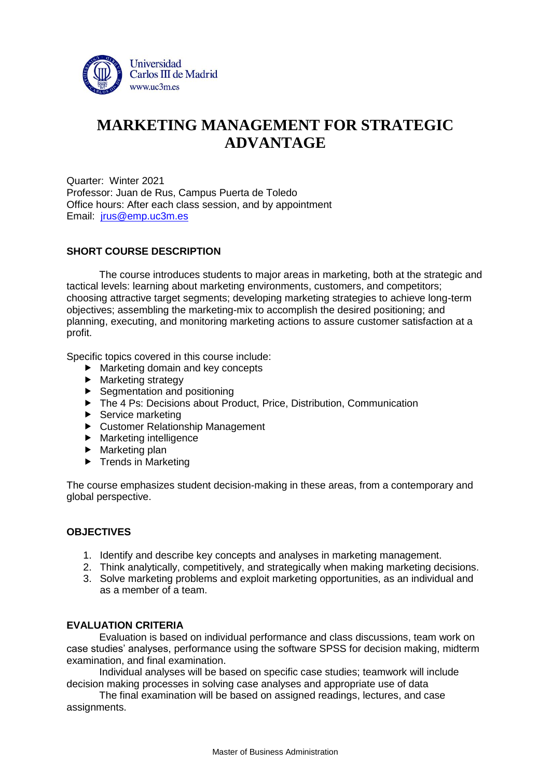

# **MARKETING MANAGEMENT FOR STRATEGIC ADVANTAGE**

Quarter: Winter 2021 Professor: Juan de Rus, Campus Puerta de Toledo Office hours: After each class session, and by appointment Email: [jrus@emp.uc3m.es](mailto:jrus@emp.uc3m.es)

## **SHORT COURSE DESCRIPTION**

The course introduces students to major areas in marketing, both at the strategic and tactical levels: learning about marketing environments, customers, and competitors; choosing attractive target segments; developing marketing strategies to achieve long-term objectives; assembling the marketing-mix to accomplish the desired positioning; and planning, executing, and monitoring marketing actions to assure customer satisfaction at a profit.

Specific topics covered in this course include:

- Marketing domain and key concepts
- Marketing strategy
- $\blacktriangleright$  Segmentation and positioning
- ▶ The 4 Ps: Decisions about Product, Price, Distribution, Communication
- $\blacktriangleright$  Service marketing
- ▶ Customer Relationship Management
- $\blacktriangleright$  Marketing intelligence
- $\blacktriangleright$  Marketing plan
- $\blacktriangleright$  Trends in Marketing

The course emphasizes student decision-making in these areas, from a contemporary and global perspective.

## **OBJECTIVES**

- 1. Identify and describe key concepts and analyses in marketing management.
- 2. Think analytically, competitively, and strategically when making marketing decisions.
- 3. Solve marketing problems and exploit marketing opportunities, as an individual and as a member of a team.

#### **EVALUATION CRITERIA**

Evaluation is based on individual performance and class discussions, team work on case studies' analyses, performance using the software SPSS for decision making, midterm examination, and final examination.

Individual analyses will be based on specific case studies; teamwork will include decision making processes in solving case analyses and appropriate use of data

The final examination will be based on assigned readings, lectures, and case assignments.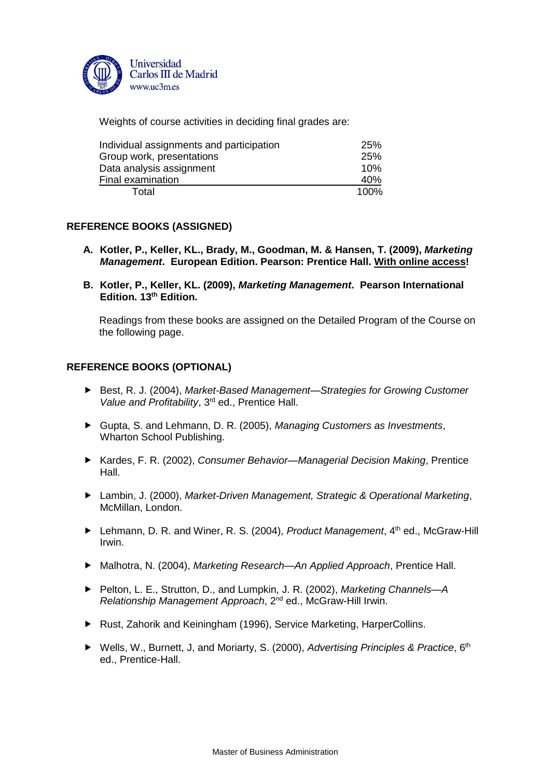

Weights of course activities in deciding final grades are:

| Individual assignments and participation | 25%  |
|------------------------------------------|------|
| Group work, presentations                | 25%  |
| Data analysis assignment                 | 10%  |
| Final examination                        | 40%  |
| Total                                    | 100% |

## **REFERENCE BOOKS (ASSIGNED)**

- **A. Kotler, P., Keller, KL., Brady, M., Goodman, M. & Hansen, T. (2009),** *Marketing Management***. European Edition. Pearson: Prentice Hall. With online access!**
- **B. Kotler, P., Keller, KL. (2009),** *Marketing Management***. Pearson International Edition. 13th Edition.**

Readings from these books are assigned on the Detailed Program of the Course on the following page.

## **REFERENCE BOOKS (OPTIONAL)**

- ▶ Best, R. J. (2004), *Market-Based Management—Strategies for Growing Customer Value and Profitability*, 3rd ed., Prentice Hall.
- Gupta, S. and Lehmann, D. R. (2005), *Managing Customers as Investments*, Wharton School Publishing.
- ▶ Kardes, F. R. (2002), *Consumer Behavior—Managerial Decision Making*, Prentice Hall.
- Lambin, J. (2000), *Market-Driven Management, Strategic & Operational Marketing*, McMillan, London.
- ▶ Lehmann, D. R. and Winer, R. S. (2004), *Product Management*, 4<sup>th</sup> ed., McGraw-Hill Irwin.
- Malhotra, N. (2004), *Marketing Research—An Applied Approach*, Prentice Hall.
- ▶ Pelton, L. E., Strutton, D., and Lumpkin, J. R. (2002), *Marketing Channels*—A *Relationship Management Approach*, 2nd ed., McGraw-Hill Irwin.
- ▶ Rust, Zahorik and Keiningham (1996), Service Marketing, HarperCollins.
- ▶ Wells, W., Burnett, J, and Moriarty, S. (2000), *Advertising Principles & Practice*, 6<sup>th</sup> ed., Prentice-Hall.